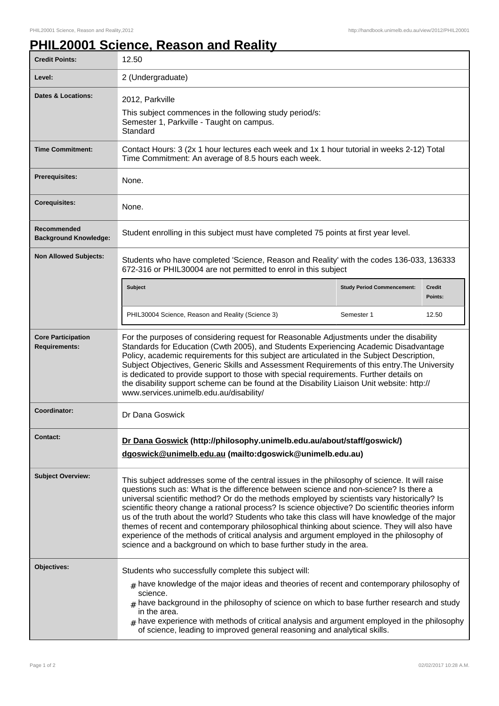## **PHIL20001 Science, Reason and Reality**

| <b>Credit Points:</b>                             | 12.50                                                                                                                                                                                                                                                                                                                                                                                                                                                                                                                                                                                                                                                                                                                                                           |                                   |                          |
|---------------------------------------------------|-----------------------------------------------------------------------------------------------------------------------------------------------------------------------------------------------------------------------------------------------------------------------------------------------------------------------------------------------------------------------------------------------------------------------------------------------------------------------------------------------------------------------------------------------------------------------------------------------------------------------------------------------------------------------------------------------------------------------------------------------------------------|-----------------------------------|--------------------------|
| Level:                                            | 2 (Undergraduate)                                                                                                                                                                                                                                                                                                                                                                                                                                                                                                                                                                                                                                                                                                                                               |                                   |                          |
| <b>Dates &amp; Locations:</b>                     | 2012, Parkville<br>This subject commences in the following study period/s:<br>Semester 1, Parkville - Taught on campus.<br>Standard                                                                                                                                                                                                                                                                                                                                                                                                                                                                                                                                                                                                                             |                                   |                          |
| <b>Time Commitment:</b>                           | Contact Hours: 3 (2x 1 hour lectures each week and 1x 1 hour tutorial in weeks 2-12) Total<br>Time Commitment: An average of 8.5 hours each week.                                                                                                                                                                                                                                                                                                                                                                                                                                                                                                                                                                                                               |                                   |                          |
| <b>Prerequisites:</b>                             | None.                                                                                                                                                                                                                                                                                                                                                                                                                                                                                                                                                                                                                                                                                                                                                           |                                   |                          |
| <b>Corequisites:</b>                              | None.                                                                                                                                                                                                                                                                                                                                                                                                                                                                                                                                                                                                                                                                                                                                                           |                                   |                          |
| Recommended<br><b>Background Knowledge:</b>       | Student enrolling in this subject must have completed 75 points at first year level.                                                                                                                                                                                                                                                                                                                                                                                                                                                                                                                                                                                                                                                                            |                                   |                          |
| <b>Non Allowed Subjects:</b>                      | Students who have completed 'Science, Reason and Reality' with the codes 136-033, 136333<br>672-316 or PHIL30004 are not permitted to enrol in this subject                                                                                                                                                                                                                                                                                                                                                                                                                                                                                                                                                                                                     |                                   |                          |
|                                                   | Subject                                                                                                                                                                                                                                                                                                                                                                                                                                                                                                                                                                                                                                                                                                                                                         | <b>Study Period Commencement:</b> | <b>Credit</b><br>Points: |
|                                                   | PHIL30004 Science, Reason and Reality (Science 3)                                                                                                                                                                                                                                                                                                                                                                                                                                                                                                                                                                                                                                                                                                               | Semester 1                        | 12.50                    |
| <b>Core Participation</b><br><b>Requirements:</b> | For the purposes of considering request for Reasonable Adjustments under the disability<br>Standards for Education (Cwth 2005), and Students Experiencing Academic Disadvantage<br>Policy, academic requirements for this subject are articulated in the Subject Description,<br>Subject Objectives, Generic Skills and Assessment Requirements of this entry. The University<br>is dedicated to provide support to those with special requirements. Further details on<br>the disability support scheme can be found at the Disability Liaison Unit website: http://<br>www.services.unimelb.edu.au/disability/                                                                                                                                                |                                   |                          |
| Coordinator:                                      | Dr Dana Goswick                                                                                                                                                                                                                                                                                                                                                                                                                                                                                                                                                                                                                                                                                                                                                 |                                   |                          |
| Contact:                                          | Dr Dana Goswick (http://philosophy.unimelb.edu.au/about/staff/goswick/)<br>dgoswick@unimelb.edu.au (mailto:dgoswick@unimelb.edu.au)                                                                                                                                                                                                                                                                                                                                                                                                                                                                                                                                                                                                                             |                                   |                          |
| <b>Subject Overview:</b>                          | This subject addresses some of the central issues in the philosophy of science. It will raise<br>questions such as: What is the difference between science and non-science? Is there a<br>universal scientific method? Or do the methods employed by scientists vary historically? Is<br>scientific theory change a rational process? Is science objective? Do scientific theories inform<br>us of the truth about the world? Students who take this class will have knowledge of the major<br>themes of recent and contemporary philosophical thinking about science. They will also have<br>experience of the methods of critical analysis and argument employed in the philosophy of<br>science and a background on which to base further study in the area. |                                   |                          |
| Objectives:                                       | Students who successfully complete this subject will:<br>$#$ have knowledge of the major ideas and theories of recent and contemporary philosophy of<br>science.<br>$#$ have background in the philosophy of science on which to base further research and study<br>in the area.<br>$_{\text{\#}}$ have experience with methods of critical analysis and argument employed in the philosophy<br>of science, leading to improved general reasoning and analytical skills.                                                                                                                                                                                                                                                                                        |                                   |                          |